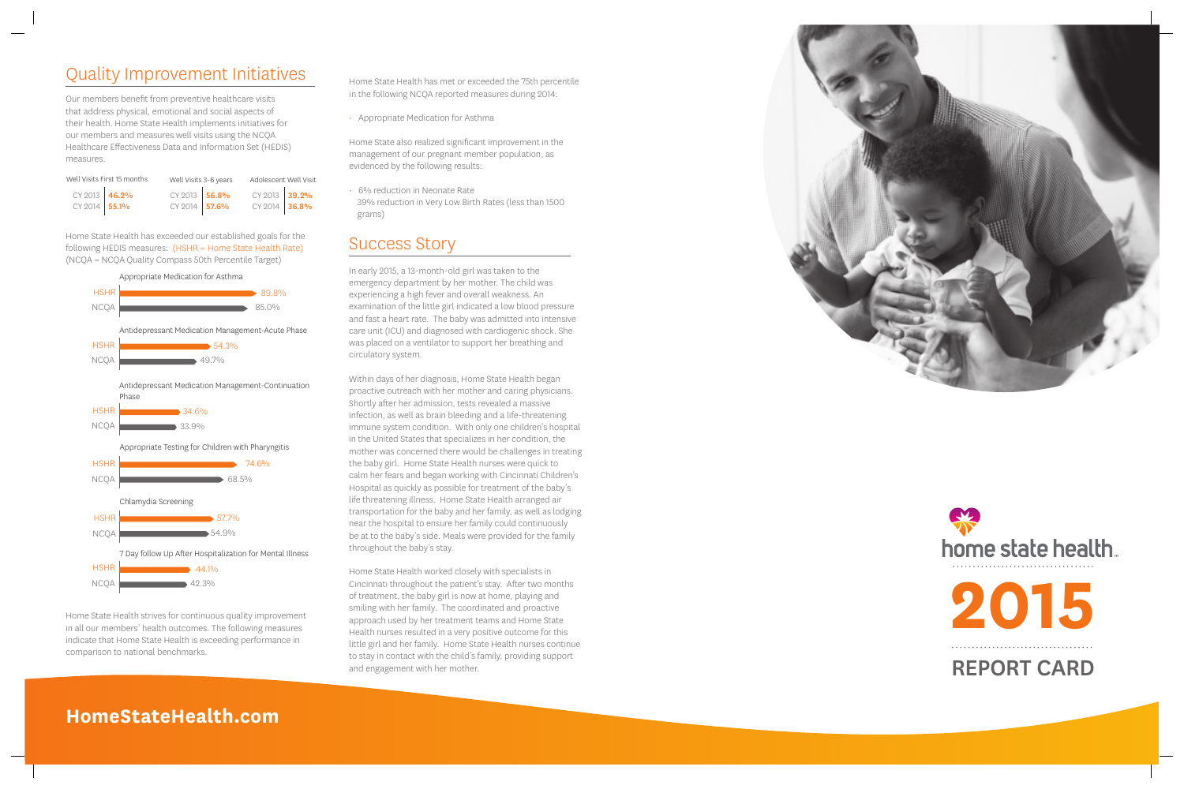## Quality Improvement Initiatives

Our members benefit from preventive healthcare visits that address physical, emotional and social aspects of their health. Home State Health implements initiatives for our members and measures well visits using the NCQA Healthcare Effectiveness Data and Information Set (HEDIS) measures.

Home State Health has exceeded our established goals for the following HEDIS measures: (HSHR = Home State Health Rate) (NCQA = NCQA Quality Compass 50th Percentile Target)

Home State Health strives for continuous quality improvement in all our members' health outcomes. The following measures indicate that Home State Health is exceeding performance in comparison to national benchmarks.

Home State Health has met or exceeded the 75th percentile in the following NCQA reported measures during 2014:

• Appropriate Medication for Asthma

Home State also realized significant improvement in the management of our pregnant member population, as evidenced by the following results: • 6% reduction in Neonate Rate

 39% reduction in Very Low Birth Rates (less than 1500 grams)

#### Success Story

In early 2015, a 13-month-old girl was taken to the emergency department by her mother. The child was experiencing a high fever and overall weakness. An examination of the little girl indicated a low blood pressure and fast a heart rate. The baby was admitted into intensive care unit (ICU) and diagnosed with cardiogenic shock. She was placed on a ventilator to support her breathing and circulatory system.

| Well Visits First 15 months |  | Well Visits 3-6 years |  | Adolescent Well Visit |  |
|-----------------------------|--|-----------------------|--|-----------------------|--|
| CY 2013 46.2%               |  | CY 2013 56.8%         |  | CY 2013 39.2%         |  |
| CY 2014 55.1%               |  | CY 2014 57.6%         |  | CY 2014 36.8%         |  |



Within days of her diagnosis, Home State Health began proactive outreach with her mother and caring physicians. Shortly after her admission, tests revealed a massive infection, as well as brain bleeding and a life-threatening immune system condition. With only one children's hospital in the United States that specializes in her condition, the mother was concerned there would be challenges in treating the baby girl. Home State Health nurses were quick to calm her fears and began working with Cincinnati Children's Hospital as quickly as possible for treatment of the baby's life threatening illness. Home State Health arranged air transportation for the baby and her family, as well as lodging near the hospital to ensure her family could continuously be at to the baby's side. Meals were provided for the family throughout the baby's stay.

Home State Health worked closely with specialists in Cincinnati throughout the patient's stay. After two months of treatment, the baby girl is now at home, playing and smiling with her family. The coordinated and proactive approach used by her treatment teams and Home State Health nurses resulted in a very positive outcome for this little girl and her family. Home State Health nurses continue to stay in contact with the child's family, providing support and engagement with her mother.



### **HomeStateHealth.com**